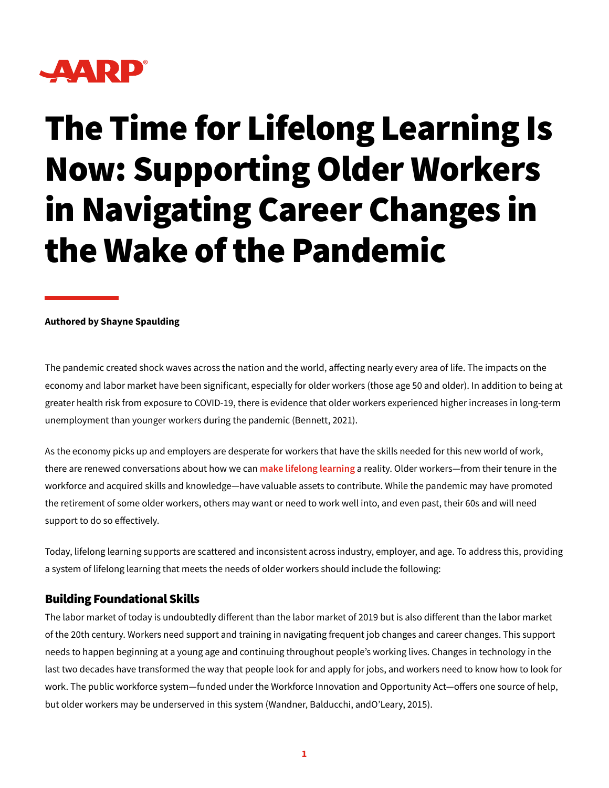

# The Time for Lifelong Learning Is Now: Supporting Older Workers in Navigating Career Changes in the Wake of the Pandemic

#### **Authored by Shayne Spaulding**

The pandemic created shock waves across the nation and the world, affecting nearly every area of life. The impacts on the economy and labor market have been significant, especially for older workers (those age 50 and older). In addition to being at greater health risk from exposure to COVID-19, there is evidence that older workers experienced higher increases in long-term unemployment than younger workers during the pandemic (Bennett, 2021).

As the economy picks up and employers are desperate for workers that have the skills needed for this new world of work, there are renewed conversations about how we can **[make lifelong learning](https://next50.urban.org/question/lifelong-learning)** a reality. Older workers—from their tenure in the workforce and acquired skills and knowledge—have valuable assets to contribute. While the pandemic may have promoted the retirement of some older workers, others may want or need to work well into, and even past, their 60s and will need support to do so effectively.

Today, lifelong learning supports are scattered and inconsistent across industry, employer, and age. To address this, providing a system of lifelong learning that meets the needs of older workers should include the following:

### Building Foundational Skills

The labor market of today is undoubtedly different than the labor market of 2019 but is also different than the labor market of the 20th century. Workers need support and training in navigating frequent job changes and career changes. This support needs to happen beginning at a young age and continuing throughout people's working lives. Changes in technology in the last two decades have transformed the way that people look for and apply for jobs, and workers need to know how to look for work. The public workforce system—funded under the Workforce Innovation and Opportunity Act—offers one source of help, but older workers may be underserved in this system (Wandner, Balducchi, andO'Leary, 2015).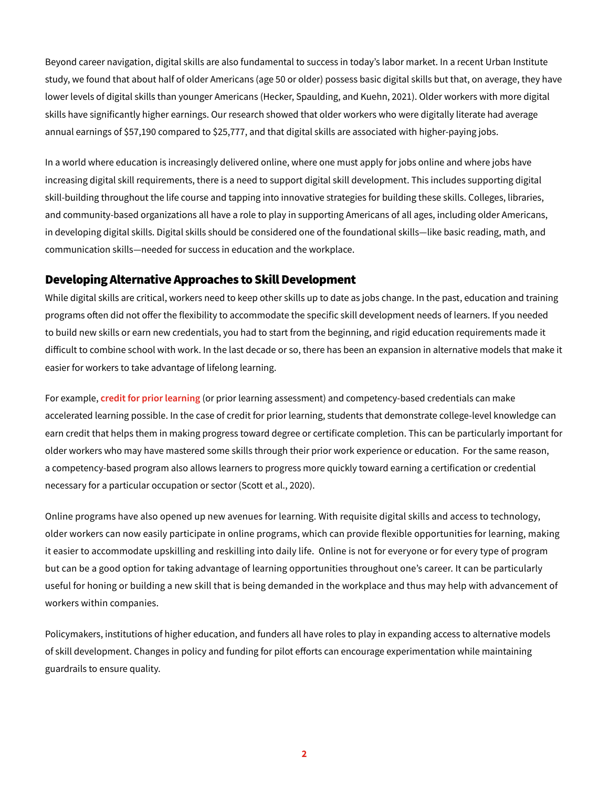Beyond career navigation, digital skills are also fundamental to success in today's labor market. In a recent Urban Institute study, we found that about half of older Americans (age 50 or older) possess basic digital skills but that, on average, they have lower levels of digital skills than younger Americans (Hecker, Spaulding, and Kuehn, 2021). Older workers with more digital skills have significantly higher earnings. Our research showed that older workers who were digitally literate had average annual earnings of \$57,190 compared to \$25,777, and that digital skills are associated with higher-paying jobs.

In a world where education is increasingly delivered online, where one must apply for jobs online and where jobs have increasing digital skill requirements, there is a need to support digital skill development. This includes supporting digital skill-building throughout the life course and tapping into innovative strategies for building these skills. Colleges, libraries, and community-based organizations all have a role to play in supporting Americans of all ages, including older Americans, in developing digital skills. Digital skills should be considered one of the foundational skills—like basic reading, math, and communication skills—needed for success in education and the workplace.

#### Developing Alternative Approaches to Skill Development

While digital skills are critical, workers need to keep other skills up to date as jobs change. In the past, education and training programs often did not offer the flexibility to accommodate the specific skill development needs of learners. If you needed to build new skills or earn new credentials, you had to start from the beginning, and rigid education requirements made it difficult to combine school with work. In the last decade or so, there has been an expansion in alternative models that make it easier for workers to take advantage of lifelong learning.

For example, **[credit for prior learning](https://www.acenet.edu/Programs-Services/Pages/Credit-Transcripts/Student-Guide-to-Credit-for-Prior-Learning.aspx)** (or prior learning assessment) and competency-based credentials can make accelerated learning possible. In the case of credit for prior learning, students that demonstrate college-level knowledge can earn credit that helps them in making progress toward degree or certificate completion. This can be particularly important for older workers who may have mastered some skills through their prior work experience or education. For the same reason, a competency-based program also allows learners to progress more quickly toward earning a certification or credential necessary for a particular occupation or sector (Scott et al., 2020).

Online programs have also opened up new avenues for learning. With requisite digital skills and access to technology, older workers can now easily participate in online programs, which can provide flexible opportunities for learning, making it easier to accommodate upskilling and reskilling into daily life. Online is not for everyone or for every type of program but can be a good option for taking advantage of learning opportunities throughout one's career. It can be particularly useful for honing or building a new skill that is being demanded in the workplace and thus may help with advancement of workers within companies.

Policymakers, institutions of higher education, and funders all have roles to play in expanding access to alternative models of skill development. Changes in policy and funding for pilot efforts can encourage experimentation while maintaining guardrails to ensure quality.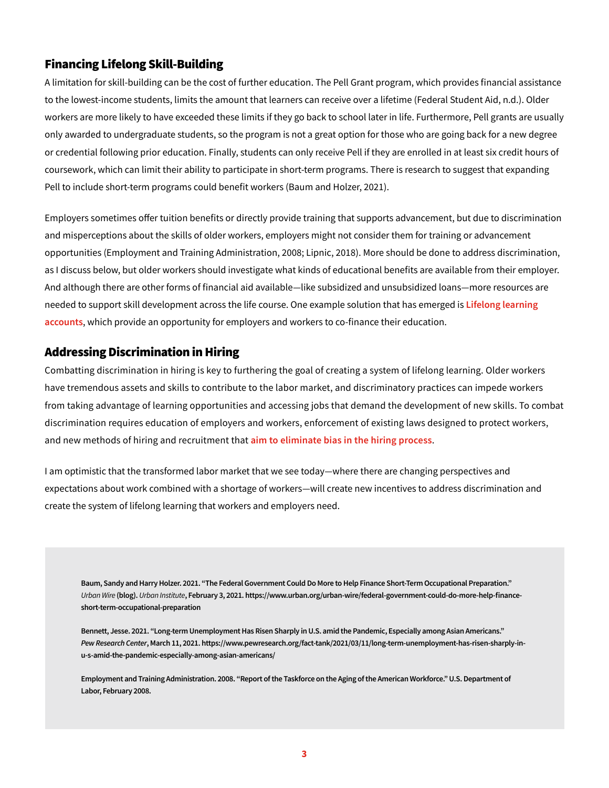## Financing Lifelong Skill-Building

A limitation for skill-building can be the cost of further education. The Pell Grant program, which provides financial assistance to the lowest-income students, limits the amount that learners can receive over a lifetime (Federal Student Aid, n.d.). Older workers are more likely to have exceeded these limits if they go back to school later in life. Furthermore, Pell grants are usually only awarded to undergraduate students, so the program is not a great option for those who are going back for a new degree or credential following prior education. Finally, students can only receive Pell if they are enrolled in at least six credit hours of coursework, which can limit their ability to participate in short-term programs. There is research to suggest that expanding Pell to include short-term programs could benefit workers (Baum and Holzer, 2021).

Employers sometimes offer tuition benefits or directly provide training that supports advancement, but due to discrimination and misperceptions about the skills of older workers, employers might not consider them for training or advancement opportunities (Employment and Training Administration, 2008; Lipnic, 2018). More should be done to address discrimination, as I discuss below, but older workers should investigate what kinds of educational benefits are available from their employer. And although there are other forms of financial aid available—like subsidized and unsubsidized loans—more resources are needed to support skill development across the life course. One example solution that has emerged is **[Lifelong learning](https://alec.org/model-policy/the-lifelong-learning-accounts-act/)  [accounts](https://alec.org/model-policy/the-lifelong-learning-accounts-act/)**, which provide an opportunity for employers and workers to co-finance their education.

## Addressing Discrimination in Hiring

Combatting discrimination in hiring is key to furthering the goal of creating a system of lifelong learning. Older workers have tremendous assets and skills to contribute to the labor market, and discriminatory practices can impede workers from taking advantage of learning opportunities and accessing jobs that demand the development of new skills. To combat discrimination requires education of employers and workers, enforcement of existing laws designed to protect workers, and new methods of hiring and recruitment that **[aim to eliminate bias in the hiring process](https://opportunityatwork.org)**.

I am optimistic that the transformed labor market that we see today—where there are changing perspectives and expectations about work combined with a shortage of workers—will create new incentives to address discrimination and create the system of lifelong learning that workers and employers need.

**Baum, Sandy and Harry Holzer. 2021. "The Federal Government Could Do More to Help Finance Short-Term Occupational Preparation."**  *Urban Wire* **(blog).** *Urban Institute***, February 3, 2021. https://www.urban.org/urban-wire/federal-government-could-do-more-help-financeshort-term-occupational-preparation**

**Bennett, Jesse. 2021. "Long-term Unemployment Has Risen Sharply in U.S. amid the Pandemic, Especially among Asian Americans."**  *Pew Research Center***, March 11, 2021. https://www.pewresearch.org/fact-tank/2021/03/11/long-term-unemployment-has-risen-sharply-inu-s-amid-the-pandemic-especially-among-asian-americans/**

**Employment and Training Administration. 2008. "Report of the Taskforce on the Aging of the American Workforce." U.S. Department of Labor, February 2008.**